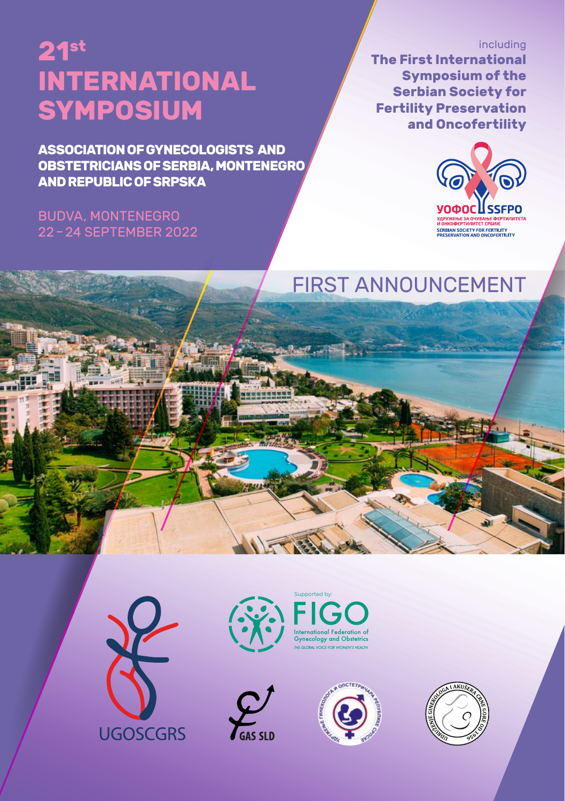# SYMPOSIUM **INTERNATIONAL 21st**

**ASSOCIATION OF GYNECOLOGISTS AND OBSTETRICIANS OF SERBIA, MONTENEGRO AND REPUBLIC OF SRPSKA**

#### BUDVA, MONTENEGRO 22 – 24 SEPTEMBER 2022

#### including **The First International Symposium of the Serbian Society for Fertility Preservation and Oncofertility**



# FIRST ANNOUNCEMENT









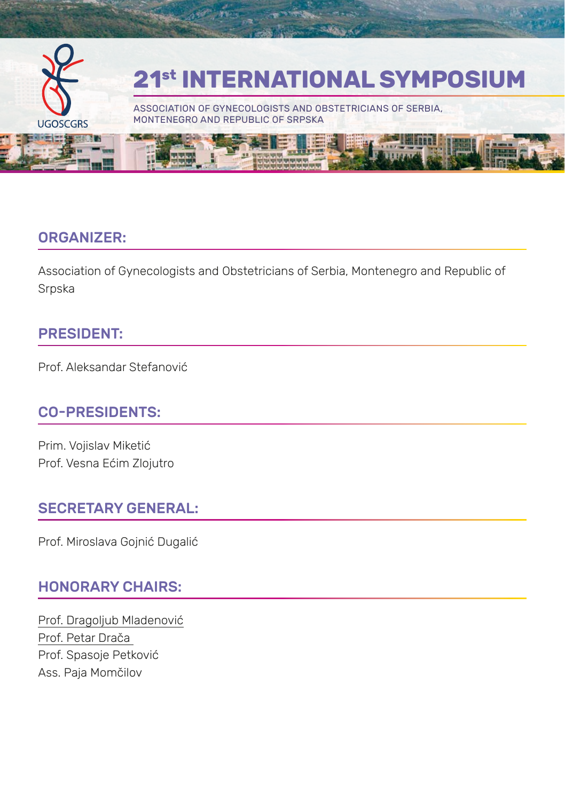

#### ORGANIZER:

Association of Gynecologists and Obstetricians of Serbia, Montenegro and Republic of Srpska

#### PRESIDENT:

Prof. Aleksandar Stefanović

#### CO-PRESIDENTS:

Prim. Vojislav Miketić Prof. Vesna Ećim Zlojutro

#### SECRETARY GENERAL:

Prof. Miroslava Gojnić Dugalić

#### HONORARY CHAIRS:

Prof. Dragoljub Mladenović Prof. Petar Drača Prof. Spasoje Petković Ass. Paja Momčilov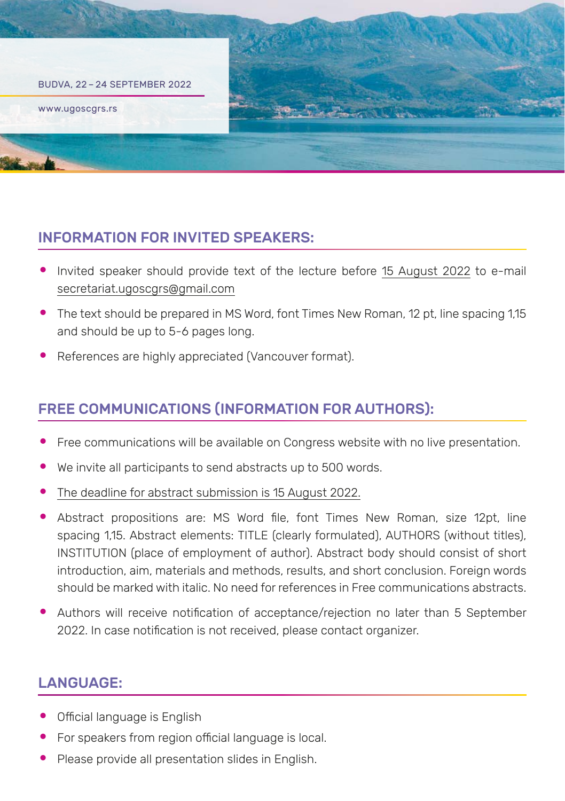

# INFORMATION FOR INVITED SPEAKERS:

- Invited speaker should provide text of the lecture before 15 August 2022 to e-mail secretariat.ugoscgrs@gmail.com
- The text should be prepared in MS Word, font Times New Roman, 12 pt, line spacing 1.15 and should be up to 5-6 pages long.
- References are highly appreciated (Vancouver format).

# FREE COMMUNICATIONS (INFORMATION FOR AUTHORS):

- Free communications will be available on Congress website with no live presentation.
- We invite all participants to send abstracts up to 500 words.
- The deadline for abstract submission is 15 August 2022.
- Abstract propositions are: MS Word file, font Times New Roman, size 12pt, line spacing 1,15. Abstract elements: TITLE (clearly formulated), AUTHORS (without titles), INSTITUTION (place of employment of author). Abstract body should consist of short introduction, aim, materials and methods, results, and short conclusion. Foreign words should be marked with italic. No need for references in Free communications abstracts.
- Authors will receive notification of acceptance/rejection no later than 5 September 2022. In case notification is not received, please contact organizer.

# LANGUAGE:

- Official language is English
- For speakers from region official language is local.
- Please provide all presentation slides in English.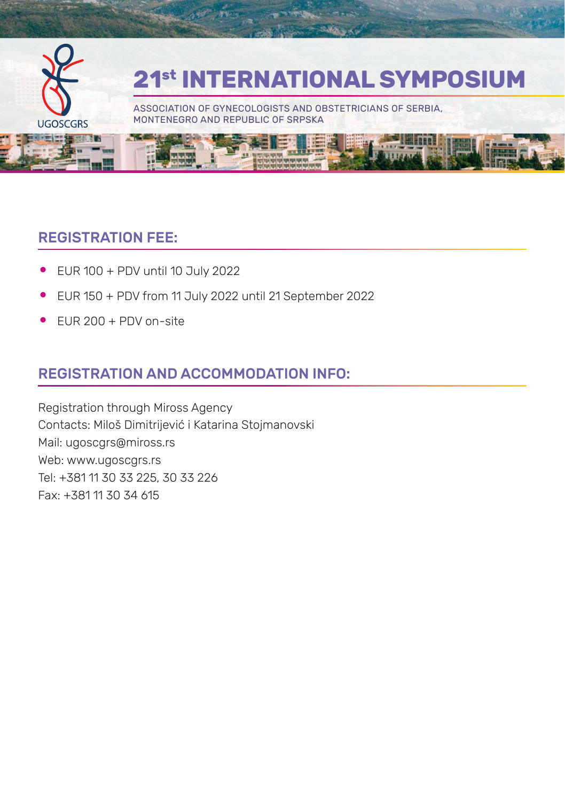

#### REGISTRATION FEE:

- EUR 100 + PDV until 10 July 2022
- EUR 150 + PDV from 11 July 2022 until 21 September 2022
- EUR 200 + PDV on-site

# REGISTRATION AND ACCOMMODATION INFO:

Registration through Miross Agency Contacts: Miloš Dimitrijević i Katarina Stojmanovski Mail: ugoscgrs@miross.rs Web: www.ugoscgrs.rs Tel: +381 11 30 33 225, 30 33 226 Fax: +381 11 30 34 615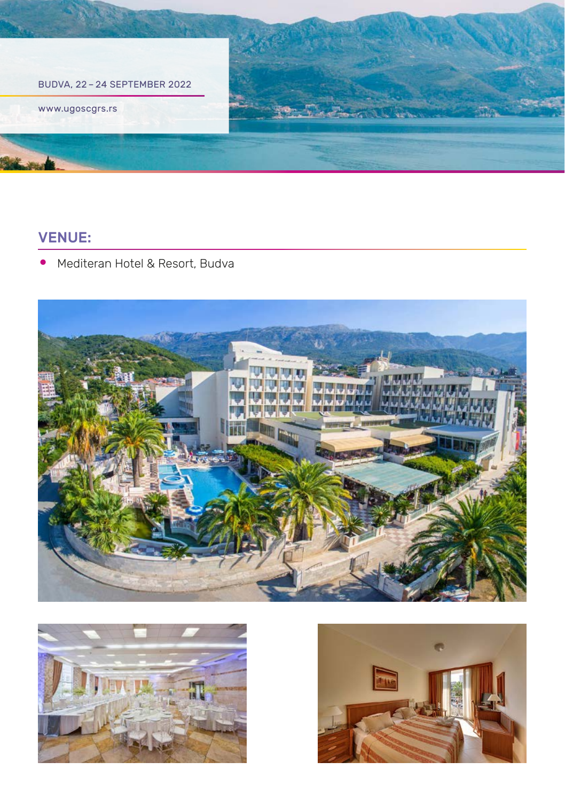

#### VENUE:

• Mediteran Hotel & Resort, Budva